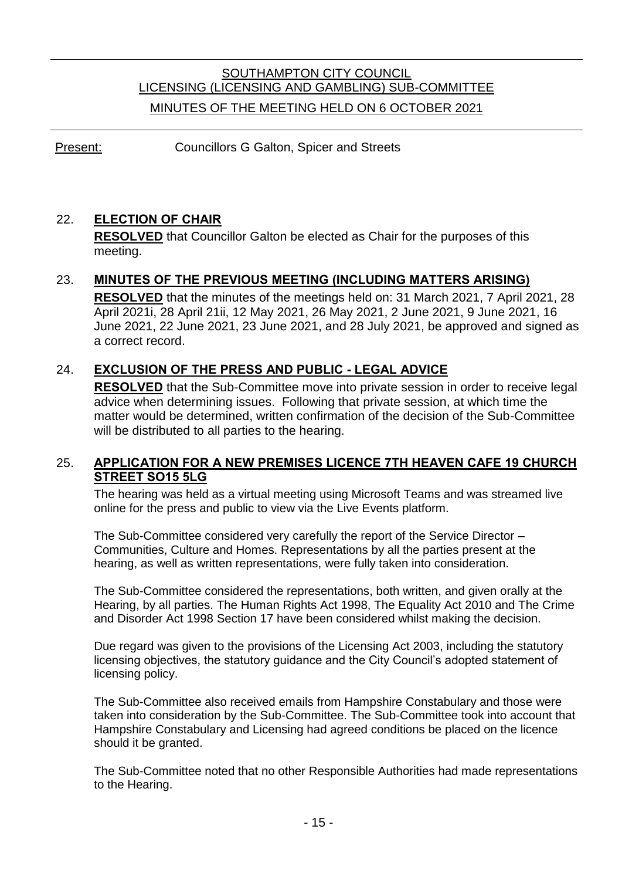# SOUTHAMPTON CITY COUNCIL LICENSING (LICENSING AND GAMBLING) SUB-COMMITTEE MINUTES OF THE MEETING HELD ON 6 OCTOBER 2021

Present: Councillors G Galton, Spicer and Streets

## 22. **ELECTION OF CHAIR**

**RESOLVED** that Councillor Galton be elected as Chair for the purposes of this meeting.

## 23. **MINUTES OF THE PREVIOUS MEETING (INCLUDING MATTERS ARISING)**

**RESOLVED** that the minutes of the meetings held on: 31 March 2021, 7 April 2021, 28 April 2021i, 28 April 21ii, 12 May 2021, 26 May 2021, 2 June 2021, 9 June 2021, 16 June 2021, 22 June 2021, 23 June 2021, and 28 July 2021, be approved and signed as a correct record.

## 24. **EXCLUSION OF THE PRESS AND PUBLIC - LEGAL ADVICE**

**RESOLVED** that the Sub-Committee move into private session in order to receive legal advice when determining issues. Following that private session, at which time the matter would be determined, written confirmation of the decision of the Sub-Committee will be distributed to all parties to the hearing.

#### 25. **APPLICATION FOR A NEW PREMISES LICENCE 7TH HEAVEN CAFE 19 CHURCH STREET SO15 5LG**

The hearing was held as a virtual meeting using Microsoft Teams and was streamed live online for the press and public to view via the Live Events platform.

The Sub-Committee considered very carefully the report of the Service Director – Communities, Culture and Homes. Representations by all the parties present at the hearing, as well as written representations, were fully taken into consideration.

The Sub-Committee considered the representations, both written, and given orally at the Hearing, by all parties. The Human Rights Act 1998, The Equality Act 2010 and The Crime and Disorder Act 1998 Section 17 have been considered whilst making the decision.

Due regard was given to the provisions of the Licensing Act 2003, including the statutory licensing objectives, the statutory guidance and the City Council's adopted statement of licensing policy.

The Sub-Committee also received emails from Hampshire Constabulary and those were taken into consideration by the Sub-Committee. The Sub-Committee took into account that Hampshire Constabulary and Licensing had agreed conditions be placed on the licence should it be granted.

The Sub-Committee noted that no other Responsible Authorities had made representations to the Hearing.